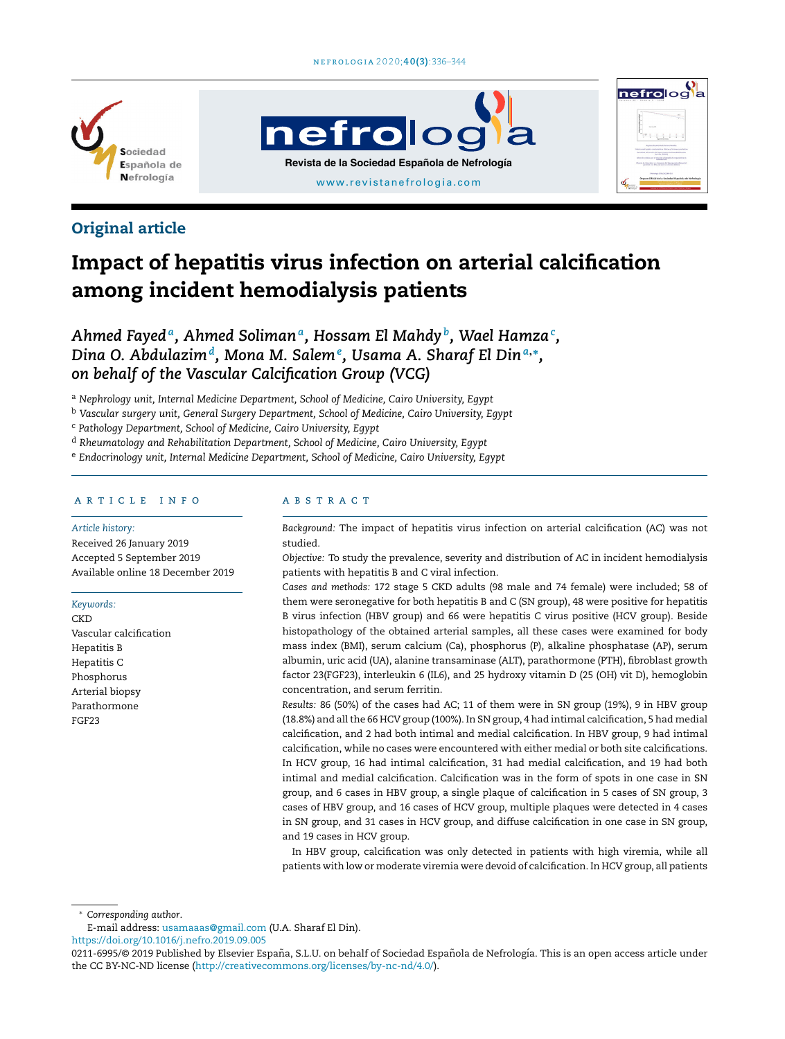

# nefrolog **Revista de la Sociedad Española de Nefrología** [www.revistanefrologia.com](http://www.revistanefrologia.com)



### Original article

## Impact of hepatitis virus infection on arterial calcification among incident hemodialysis patients

*Ahmed Fayed<sup>a</sup> , Ahmed Soliman<sup>a</sup> , Hossam El Mahdy <sup>b</sup> , Wael Hamza<sup>c</sup> , Dina O. Abdulazim<sup>d</sup> , Mona M. Salem<sup>e</sup> , Usama A. Sharaf El Din<sup>a</sup>*,<sup>∗</sup> *, on behalf of the Vascular Calcification Group (VCG)*

<sup>a</sup> *Nephrology unit, Internal Medicine Department, School of Medicine, Cairo University, Egypt*

<sup>b</sup> *Vascular surgery unit, General Surgery Department, School of Medicine, Cairo University, Egypt*

<sup>c</sup> *Pathology Department, School of Medicine, Cairo University, Egypt*

<sup>d</sup> *Rheumatology and Rehabilitation Department, School of Medicine, Cairo University, Egypt*

<sup>e</sup> *Endocrinology unit, Internal Medicine Department, School of Medicine, Cairo University, Egypt*

#### a r t i c l e i n f o

#### *Article history:*

Received 26 January 2019 Accepted 5 September 2019 Available online 18 December 2019

#### *Keywords:*

**CKD** Vascular calcification Hepatitis B Hepatitis C Phosphorus Arterial biopsy Parathormone FGF23

#### a b s t r a c t

*Background:* The impact of hepatitis virus infection on arterial calcification (AC) was not studied.

*Objective:* To study the prevalence, severity and distribution of AC in incident hemodialysis patients with hepatitis B and C viral infection.

*Cases and methods:* 172 stage 5 CKD adults (98 male and 74 female) were included; 58 of them were seronegative for both hepatitis B and C (SN group), 48 were positive for hepatitis B virus infection (HBV group) and 66 were hepatitis C virus positive (HCV group). Beside histopathology of the obtained arterial samples, all these cases were examined for body mass index (BMI), serum calcium (Ca), phosphorus (P), alkaline phosphatase (AP), serum albumin, uric acid (UA), alanine transaminase (ALT), parathormone (PTH), fibroblast growth factor 23(FGF23), interleukin 6 (IL6), and 25 hydroxy vitamin D (25 (OH) vit D), hemoglobin concentration, and serum ferritin.

*Results:* 86 (50%) of the cases had AC; 11 of them were in SN group (19%), 9 in HBV group (18.8%) and allthe 66 HCV group (100%). In SN group, 4 had intimal calcification, 5 had medial calcification, and 2 had both intimal and medial calcification. In HBV group, 9 had intimal calcification, while no cases were encountered with either medial or both site calcifications. In HCV group, 16 had intimal calcification, 31 had medial calcification, and 19 had both intimal and medial calcification. Calcification was in the form of spots in one case in SN group, and 6 cases in HBV group, a single plaque of calcification in 5 cases of SN group, 3 cases of HBV group, and 16 cases of HCV group, multiple plaques were detected in 4 cases in SN group, and 31 cases in HCV group, and diffuse calcification in one case in SN group, and 19 cases in HCV group.

In HBV group, calcification was only detected in patients with high viremia, while all patients with low or moderate viremia were devoid of calcification. In HCV group, all patients

<sup>∗</sup> *Corresponding author*.

E-mail address: [usamaaas@gmail.com](mailto:usamaaas@gmail.com) (U.A. Sharaf El Din).

<https://doi.org/10.1016/j.nefro.2019.09.005>

<sup>0211-6995/© 2019</sup> Published by Elsevier España, S.L.U. on behalf of Sociedad Española de Nefrología. This is an open access article under the CC BY-NC-ND license ([http://creativecommons.org/licenses/by-nc-nd/4.0/\)](http://creativecommons.org/licenses/by-nc-nd/4.0/).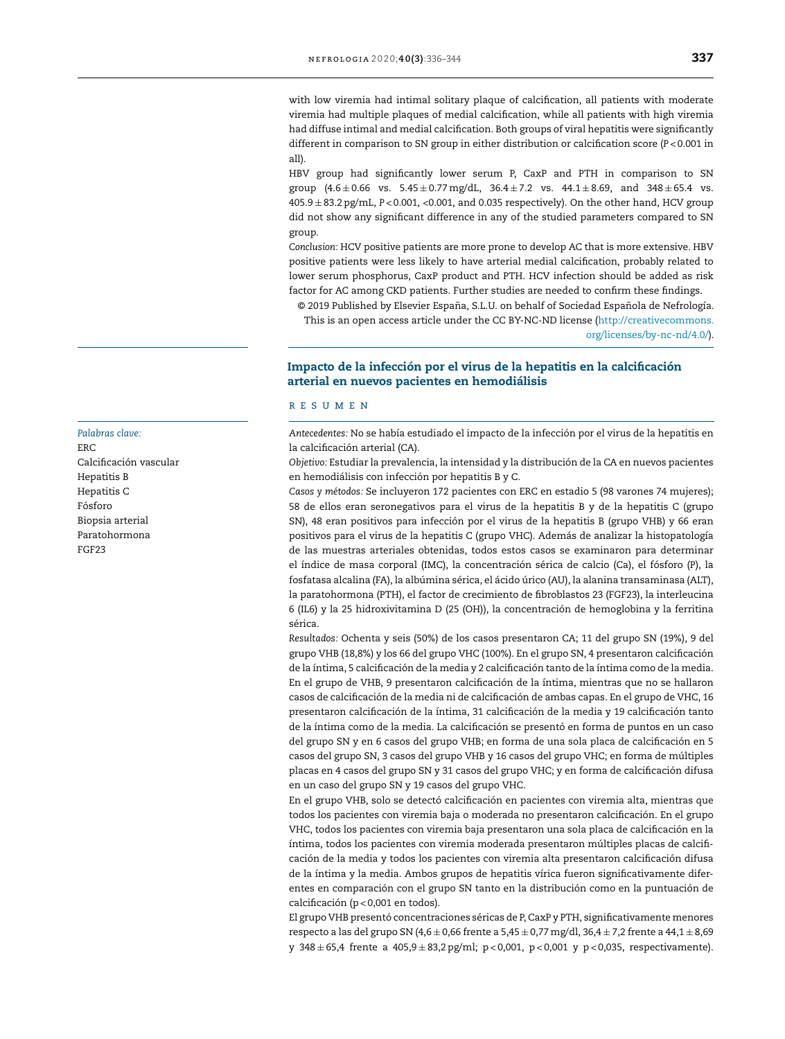with low viremia had intimal solitary plaque of calcification, all patients with moderate viremia had multiple plaques of medial calcification, while all patients with high viremia had diffuse intimal and medial calcification. Both groups of viral hepatitis were significantly different in comparison to SN group in either distribution or calcification score (*P* < 0.001 in all).

HBV group had significantly lower serum P, CaxP and PTH in comparison to SN group  $(4.6 \pm 0.66$  vs.  $5.45 \pm 0.77$  mg/dL,  $36.4 \pm 7.2$  vs.  $44.1 \pm 8.69$ , and  $348 \pm 65.4$  vs. 405.9 ± 83.2 pg/mL, *P* < 0.001, <0.001, and 0.035 respectively). On the other hand, HCV group did not show any significant difference in any of the studied parameters compared to SN group.

*Conclusion:* HCV positive patients are more prone to develop AC that is more extensive. HBV positive patients were less likely to have arterial medial calcification, probably related to lower serum phosphorus, CaxP product and PTH. HCV infection should be added as risk factor for AC among CKD patients. Further studies are needed to confirm these findings.

© 2019 Published by Elsevier España, S.L.U. on behalf of Sociedad Española de Nefrología. This is an open access article under the CC BY-NC-ND license [\(http://creativecommons.](http://creativecommons.org/licenses/by-nc-nd/4.0/) [org/licenses/by-nc-nd/4.0/](http://creativecommons.org/licenses/by-nc-nd/4.0/)).

#### Impacto de la infección por el virus de la hepatitis en la calcificación arterial en nuevos pacientes en hemodiálisis

#### r e s u m e n

*Antecedentes:* No se había estudiado el impacto de la infección por el virus de la hepatitis en la calcificación arterial (CA).

*Objetivo:* Estudiar la prevalencia, la intensidad y la distribución de la CA en nuevos pacientes en hemodiálisis con infección por hepatitis B y C.

*Casos y métodos:* Se incluyeron 172 pacientes con ERC en estadio 5 (98 varones 74 mujeres); 58 de ellos eran seronegativos para el virus de la hepatitis B y de la hepatitis C (grupo SN), 48 eran positivos para infección por el virus de la hepatitis B (grupo VHB) y 66 eran positivos para el virus de la hepatitis C (grupo VHC). Además de analizar la histopatología de las muestras arteriales obtenidas, todos estos casos se examinaron para determinar el índice de masa corporal (IMC), la concentración sérica de calcio (Ca), el fósforo (P), la fosfatasa alcalina (FA), la albúmina sérica, el ácido úrico (AU), la alanina transaminasa (ALT), la paratohormona (PTH), el factor de crecimiento de fibroblastos 23 (FGF23), la interleucina 6 (IL6) y la 25 hidroxivitamina D (25 (OH)), la concentración de hemoglobina y la ferritina sérica.

*Resultados:* Ochenta y seis (50%) de los casos presentaron CA; 11 del grupo SN (19%), 9 del grupo VHB (18,8%) y los 66 del grupo VHC (100%). En el grupo SN, 4 presentaron calcificación de la íntima, 5 calcificación de la media y 2 calcificación tanto de la íntima como de la media. En el grupo de VHB, 9 presentaron calcificación de la íntima, mientras que no se hallaron casos de calcificación de la media ni de calcificación de ambas capas. En el grupo de VHC, 16 presentaron calcificación de la íntima, 31 calcificación de la media y 19 calcificación tanto de la íntima como de la media. La calcificación se presentó en forma de puntos en un caso del grupo SN y en 6 casos del grupo VHB; en forma de una sola placa de calcificación en 5 casos del grupo SN, 3 casos del grupo VHB y 16 casos del grupo VHC; en forma de múltiples placas en 4 casos del grupo SN y 31 casos del grupo VHC; y en forma de calcificación difusa en un caso del grupo SN y 19 casos del grupo VHC.

En el grupo VHB, solo se detectó calcificación en pacientes con viremia alta, mientras que todos los pacientes con viremia baja o moderada no presentaron calcificación. En el grupo VHC, todos los pacientes con viremia baja presentaron una sola placa de calcificación en la íntima, todos los pacientes con viremia moderada presentaron múltiples placas de calcificación de la media y todos los pacientes con viremia alta presentaron calcificación difusa de la íntima y la media. Ambos grupos de hepatitis vírica fueron significativamente diferentes en comparación con el grupo SN tanto en la distribución como en la puntuación de calcificación (p < 0,001 en todos).

El grupo VHB presentó concentraciones séricas de P, CaxP y PTH, significativamente menores respecto a las del grupo SN (4,6 ± 0,66 frente a 5,45 ± 0,77 mg/dl, 36,4 ± 7,2 frente a 44,1 ± 8,69 y 348 ± 65,4 frente a 405,9 ± 83,2 pg/ml; p < 0,001, p < 0,001 y p < 0,035, respectivamente).

*Palabras clave:* ERC Calcificación vascular Hepatitis B Hepatitis C Fósforo Biopsia arterial Paratohormona FGF23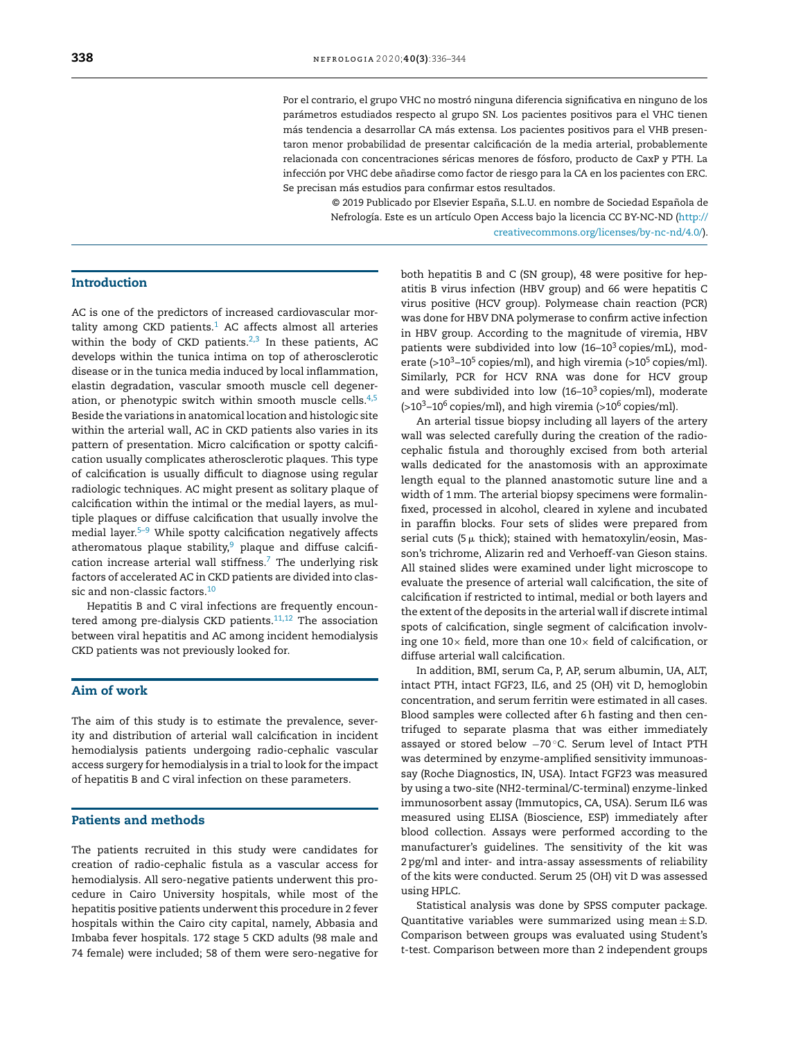Por el contrario, el grupo VHC no mostró ninguna diferencia significativa en ninguno de los parámetros estudiados respecto al grupo SN. Los pacientes positivos para el VHC tienen más tendencia a desarrollar CA más extensa. Los pacientes positivos para el VHB presentaron menor probabilidad de presentar calcificación de la media arterial, probablemente relacionada con concentraciones séricas menores de fósforo, producto de CaxP y PTH. La infección por VHC debe añadirse como factor de riesgo para la CA en los pacientes con ERC. Se precisan más estudios para confirmar estos resultados.

© 2019 Publicado por Elsevier España, S.L.U. en nombre de Sociedad Española de Nefrología. Este es un artículo Open Access bajo la licencia CC BY-NC-ND ([http://](http://creativecommons.org/licenses/by-nc-nd/4.0/) [creativecommons.org/licenses/by-nc-nd/4.0/\)](http://creativecommons.org/licenses/by-nc-nd/4.0/).

#### Introduction

AC is one of the predictors of increased cardiovascular mortality among CKD patients. $1$  AC affects almost all arteries within the body of CKD patients. $2,3$  In these patients, AC develops within the tunica intima on top of atherosclerotic disease or in the tunica media induced by local inflammation, elastin degradation, vascular smooth muscle cell degeneration, or phenotypic switch within smooth muscle cells. $4,5$ Beside the variations in anatomical location and histologic site within the arterial wall, AC in CKD patients also varies in its pattern of presentation. Micro calcification or spotty calcification usually complicates atherosclerotic plaques. This type of calcification is usually difficult to diagnose using regular radiologic techniques. AC might present as solitary plaque of calcification within the intimal or the medial layers, as multiple plaques or diffuse calcification that usually involve the medial layer.<sup>5-9</sup> While spotty calcification negatively affects atheromatous plaque stability,<sup>[9](#page-8-0)</sup> plaque and diffuse calcifi-cation increase arterial wall stiffness.<sup>[7](#page-8-0)</sup> The underlying risk factors of accelerated AC in CKD patients are divided into clas-sic and non-classic factors.<sup>[10](#page-8-0)</sup>

Hepatitis B and C viral infections are frequently encountered among pre-dialysis CKD patients. $11,12$  The association between viral hepatitis and AC among incident hemodialysis CKD patients was not previously looked for.

#### Aim of work

The aim of this study is to estimate the prevalence, severity and distribution of arterial wall calcification in incident hemodialysis patients undergoing radio-cephalic vascular access surgery for hemodialysis in a trial to look for the impact of hepatitis B and C viral infection on these parameters.

#### Patients and methods

The patients recruited in this study were candidates for creation of radio-cephalic fistula as a vascular access for hemodialysis. All sero-negative patients underwent this procedure in Cairo University hospitals, while most of the hepatitis positive patients underwent this procedure in 2 fever hospitals within the Cairo city capital, namely, Abbasia and Imbaba fever hospitals. 172 stage 5 CKD adults (98 male and 74 female) were included; 58 of them were sero-negative for both hepatitis B and C (SN group), 48 were positive for hepatitis B virus infection (HBV group) and 66 were hepatitis C virus positive (HCV group). Polymease chain reaction (PCR) was done for HBV DNA polymerase to confirm active infection in HBV group. According to the magnitude of viremia, HBV patients were subdivided into low  $(16-10^3 \text{ copies/mL})$ , moderate ( $>10^3$ –10<sup>5</sup> copies/ml), and high viremia ( $>10^5$  copies/ml). Similarly, PCR for HCV RNA was done for HCV group and were subdivided into low  $(16-10^3 \text{ copies/ml})$ , moderate  $(>10<sup>3</sup>-10<sup>6</sup>$  copies/ml), and high viremia ( $>10<sup>6</sup>$  copies/ml).

An arterial tissue biopsy including all layers of the artery wall was selected carefully during the creation of the radiocephalic fistula and thoroughly excised from both arterial walls dedicated for the anastomosis with an approximate length equal to the planned anastomotic suture line and a width of 1 mm. The arterial biopsy specimens were formalinfixed, processed in alcohol, cleared in xylene and incubated in paraffin blocks. Four sets of slides were prepared from serial cuts (5  $\upmu$  thick); stained with hematoxylin/eosin, Masson's trichrome, Alizarin red and Verhoeff-van Gieson stains. All stained slides were examined under light microscope to evaluate the presence of arterial wall calcification, the site of calcification if restricted to intimal, medial or both layers and the extent of the deposits in the arterial wall if discrete intimal spots of calcification, single segment of calcification involving one  $10\times$  field, more than one  $10\times$  field of calcification, or diffuse arterial wall calcification.

In addition, BMI, serum Ca, P, AP, serum albumin, UA, ALT, intact PTH, intact FGF23, IL6, and 25 (OH) vit D, hemoglobin concentration, and serum ferritin were estimated in all cases. Blood samples were collected after 6h fasting and then centrifuged to separate plasma that was either immediately assayed or stored below −70 ◦C. Serum level of Intact PTH was determined by enzyme-amplified sensitivity immunoassay (Roche Diagnostics, IN, USA). Intact FGF23 was measured by using a two-site (NH2-terminal/C-terminal) enzyme-linked immunosorbent assay (Immutopics, CA, USA). Serum IL6 was measured using ELISA (Bioscience, ESP) immediately after blood collection. Assays were performed according to the manufacturer's guidelines. The sensitivity of the kit was 2 pg/ml and inter- and intra-assay assessments of reliability of the kits were conducted. Serum 25 (OH) vit D was assessed using HPLC.

Statistical analysis was done by SPSS computer package. Quantitative variables were summarized using mean  $\pm$  S.D. Comparison between groups was evaluated using Student's *t*-test. Comparison between more than 2 independent groups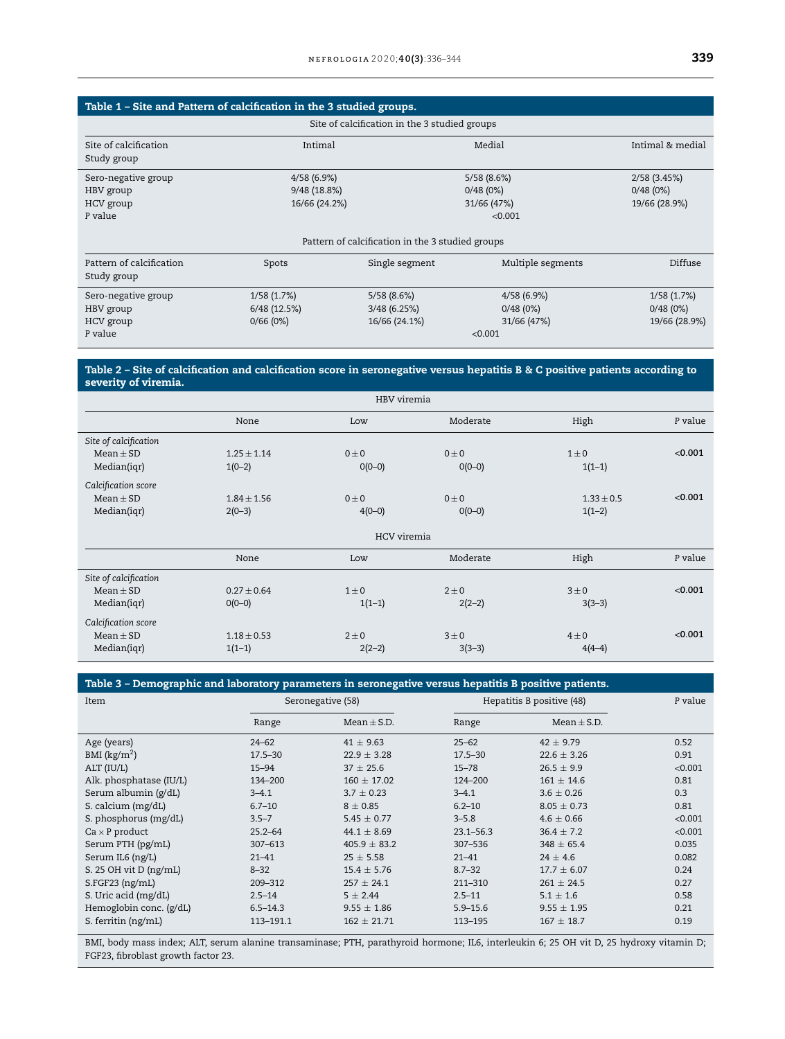<span id="page-3-0"></span>

| Table 1 – Site and Pattern of calcification in the 3 studied groups. |                                                  |                |                   |               |  |  |  |  |  |  |  |  |
|----------------------------------------------------------------------|--------------------------------------------------|----------------|-------------------|---------------|--|--|--|--|--|--|--|--|
| Site of calcification in the 3 studied groups                        |                                                  |                |                   |               |  |  |  |  |  |  |  |  |
| Site of calcification<br>Study group                                 | Intimal                                          | Medial         |                   |               |  |  |  |  |  |  |  |  |
| Sero-negative group                                                  | 4/58(6.9%)                                       |                | 5/58(8.6%)        | 2/58(3.45%)   |  |  |  |  |  |  |  |  |
| HBV group                                                            | 9/48 (18.8%)                                     |                | 0/48(0%)          | 0/48(0%)      |  |  |  |  |  |  |  |  |
| HCV group                                                            | 16/66 (24.2%)                                    |                | 31/66 (47%)       | 19/66 (28.9%) |  |  |  |  |  |  |  |  |
| P value                                                              |                                                  | < 0.001        |                   |               |  |  |  |  |  |  |  |  |
|                                                                      | Pattern of calcification in the 3 studied groups |                |                   |               |  |  |  |  |  |  |  |  |
| Pattern of calcification                                             | Spots                                            | Single segment | Multiple segments | Diffuse       |  |  |  |  |  |  |  |  |
| Study group                                                          |                                                  |                |                   |               |  |  |  |  |  |  |  |  |
| Sero-negative group                                                  | 1/58(1.7%)                                       | 5/58(8.6%)     | 4/58(6.9%)        | 1/58(1.7%)    |  |  |  |  |  |  |  |  |
| HBV group                                                            | 6/48 (12.5%)                                     | 3/48(6.25%)    | 0/48(0%)          | 0/48(0%)      |  |  |  |  |  |  |  |  |
| HCV group                                                            | 0/66(0%)                                         | 16/66 (24.1%)  | 31/66 (47%)       | 19/66 (28.9%) |  |  |  |  |  |  |  |  |
| P value                                                              |                                                  |                | < 0.001           |               |  |  |  |  |  |  |  |  |

#### Table 2 – Site of calcification and calcification score in seronegative versus hepatitis B & C positive patients according to severity of viremia.

| HBV viremia           |                 |             |            |                |         |  |  |  |  |
|-----------------------|-----------------|-------------|------------|----------------|---------|--|--|--|--|
|                       | None            | Low         | Moderate   | High           | P value |  |  |  |  |
| Site of calcification |                 |             |            |                |         |  |  |  |  |
| $Mean \pm SD$         | $1.25 \pm 1.14$ | $0 \pm 0$   | $0 \pm 0$  | $1\pm 0$       | < 0.001 |  |  |  |  |
| Median(iqr)           | $1(0-2)$        | $0(0-0)$    | $O(O - O)$ | $1(1-1)$       |         |  |  |  |  |
| Calcification score   |                 |             |            |                |         |  |  |  |  |
| $Mean \pm SD$         | $1.84 \pm 1.56$ | $0 \pm 0$   | $0 \pm 0$  | $1.33 \pm 0.5$ | < 0.001 |  |  |  |  |
| Median(iqr)           | $2(0-3)$        | $4(0-0)$    | $0(0-0)$   | $1(1-2)$       |         |  |  |  |  |
|                       |                 | HCV viremia |            |                |         |  |  |  |  |
|                       | None            | Low         | Moderate   | High           | P value |  |  |  |  |
| Site of calcification |                 |             |            |                |         |  |  |  |  |
| $Mean \pm SD$         | $0.27 \pm 0.64$ | $1\pm 0$    | $2 \pm 0$  | $3\pm0$        | < 0.001 |  |  |  |  |
| Median(iqr)           | $0(0-0)$        | $1(1-1)$    | $2(2-2)$   | $3(3-3)$       |         |  |  |  |  |
| Calcification score   |                 |             |            |                |         |  |  |  |  |
| $Mean \pm SD$         | $1.18 \pm 0.53$ | $2\pm 0$    | $3\pm 0$   | $4\pm0$        | < 0.001 |  |  |  |  |
| Median(iqr)           | $1(1-1)$        | $2(2-2)$    | $3(3-3)$   | $4(4-4)$       |         |  |  |  |  |

#### Table 3 – Demographic and laboratory parameters in seronegative versus hepatitis B positive patients.

| Item                     | Seronegative (58) |                  | Hepatitis B positive (48) |                 | P value |
|--------------------------|-------------------|------------------|---------------------------|-----------------|---------|
|                          | Range             | $Mean \pm S.D.$  | Range                     | Mean $\pm$ S.D. |         |
| Age (years)              | $24 - 62$         | $41 \pm 9.63$    | $25 - 62$                 | $42 \pm 9.79$   | 0.52    |
| BMI $(kg/m2)$            | $17.5 - 30$       | $22.9 \pm 3.28$  | $17.5 - 30$               | $22.6 \pm 3.26$ | 0.91    |
| ALT (IU/L)               | $15 - 94$         | $37 \pm 25.6$    | $15 - 78$                 | $26.5 \pm 9.9$  | < 0.001 |
| Alk. phosphatase (IU/L)  | 134-200           | $160 \pm 17.02$  | 124-200                   | $161 \pm 14.6$  | 0.81    |
| Serum albumin (g/dL)     | $3 - 4.1$         | $3.7 \pm 0.23$   | $3 - 4.1$                 | $3.6 \pm 0.26$  | 0.3     |
| S. calcium (mg/dL)       | $6.7 - 10$        | $8 \pm 0.85$     | $6.2 - 10$                | $8.05 \pm 0.73$ | 0.81    |
| S. phosphorus (mg/dL)    | $3.5 - 7$         | $5.45 \pm 0.77$  | $3 - 5.8$                 | $4.6 \pm 0.66$  | < 0.001 |
| $Ca \times P$ product    | $25.2 - 64$       | $44.1 \pm 8.69$  | $23.1 - 56.3$             | $36.4 \pm 7.2$  | < 0.001 |
| Serum PTH (pg/mL)        | $307 - 613$       | $405.9 \pm 83.2$ | 307-536                   | $348 \pm 65.4$  | 0.035   |
| Serum IL6 (ng/L)         | $21 - 41$         | $25 \pm 5.58$    | $21 - 41$                 | $24 \pm 4.6$    | 0.082   |
| S. 25 OH vit $D$ (ng/mL) | $8 - 32$          | $15.4 \pm 5.76$  | $8.7 - 32$                | $17.7 \pm 6.07$ | 0.24    |
| $S.FGF23$ (ng/mL)        | 209-312           | $257 \pm 24.1$   | 211-310                   | $261 \pm 24.5$  | 0.27    |
| S. Uric acid (mg/dL)     | $2.5 - 14$        | $5 \pm 2.44$     | $2.5 - 11$                | $5.1 \pm 1.6$   | 0.58    |
| Hemoglobin conc. (g/dL)  | $6.5 - 14.3$      | $9.55 \pm 1.86$  | $5.9 - 15.6$              | $9.55 \pm 1.95$ | 0.21    |
| S. ferritin (ng/mL)      | 113-191.1         | $162 \pm 21.71$  | 113-195                   | $167 \pm 18.7$  | 0.19    |

BMI, body mass index; ALT, serum alanine transaminase; PTH, parathyroid hormone; IL6, interleukin 6; 25 OH vit D, 25 hydroxy vitamin D; FGF23, fibroblast growth factor 23.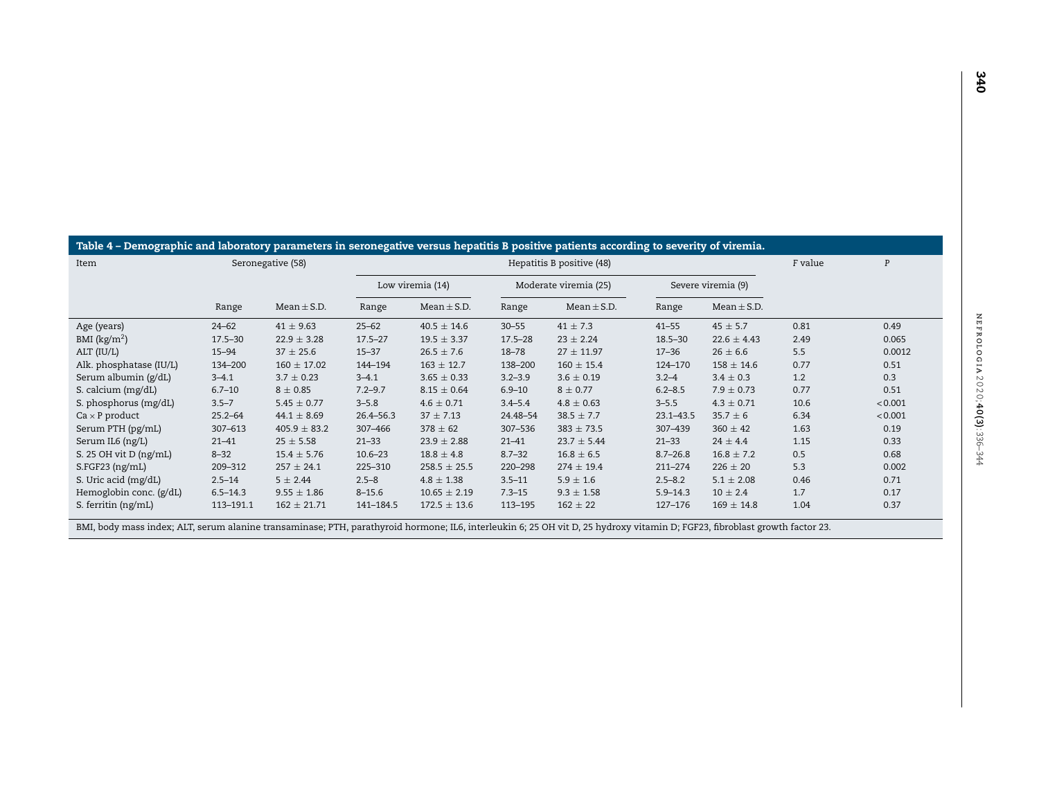<span id="page-4-0"></span>

| Table 4 – Demographic and laboratory parameters in seronegative versus hepatitis B positive patients according to severity of viremia. |                |                   |                |                  |                       |                                                                                                                                                                                                                                                 |                    |                 |         |         |  |  |
|----------------------------------------------------------------------------------------------------------------------------------------|----------------|-------------------|----------------|------------------|-----------------------|-------------------------------------------------------------------------------------------------------------------------------------------------------------------------------------------------------------------------------------------------|--------------------|-----------------|---------|---------|--|--|
| Item                                                                                                                                   |                | Seronegative (58) |                |                  |                       | Hepatitis B positive (48)                                                                                                                                                                                                                       |                    |                 | F value | P       |  |  |
|                                                                                                                                        |                |                   |                | Low viremia (14) | Moderate viremia (25) |                                                                                                                                                                                                                                                 | Severe viremia (9) |                 |         |         |  |  |
|                                                                                                                                        | Range          | Mean $\pm$ S.D.   | Range          | $Mean \pm S.D.$  | Range                 | $Mean \pm S.D.$                                                                                                                                                                                                                                 | Range              | $Mean \pm S.D.$ |         |         |  |  |
| Age (years)                                                                                                                            | $24 - 62$      | $41 \pm 9.63$     | $25 - 62$      | $40.5 \pm 14.6$  | $30 - 55$             | $41 \pm 7.3$                                                                                                                                                                                                                                    | $41 - 55$          | $45 \pm 5.7$    | 0.81    | 0.49    |  |  |
| BMI $(kg/m2)$                                                                                                                          | $17.5 - 30$    | $22.9 \pm 3.28$   | $17.5 - 27$    | $19.5 \pm 3.37$  | $17.5 - 28$           | $23 \pm 2.24$                                                                                                                                                                                                                                   | $18.5 - 30$        | $22.6 \pm 4.43$ | 2.49    | 0.065   |  |  |
| ALT (IU/L)                                                                                                                             | $15 - 94$      | $37 \pm 25.6$     | $15 - 37$      | $26.5 \pm 7.6$   | $18 - 78$             | $27 \pm 11.97$                                                                                                                                                                                                                                  | $17 - 36$          | $26 \pm 6.6$    | 5.5     | 0.0012  |  |  |
| Alk. phosphatase (IU/L)                                                                                                                | 134-200        | $160 \pm 17.02$   | 144-194        | $163 \pm 12.7$   | 138-200               | $160 \pm 15.4$                                                                                                                                                                                                                                  | 124-170            | $158 \pm 14.6$  | 0.77    | 0.51    |  |  |
| Serum albumin (g/dL)                                                                                                                   | $3 - 4.1$      | $3.7 \pm 0.23$    | $3 - 4.1$      | $3.65 \pm 0.33$  | $3.2 - 3.9$           | $3.6 \pm 0.19$                                                                                                                                                                                                                                  | $3.2 - 4$          | $3.4 \pm 0.3$   | 1.2     | 0.3     |  |  |
| S. calcium (mg/dL)                                                                                                                     | $6.7 - 10$     | $8 \pm 0.85$      | $7.2 - 9.7$    | $8.15 \pm 0.64$  | $6.9 - 10$            | $8 \pm 0.77$                                                                                                                                                                                                                                    | $6.2 - 8.5$        | $7.9 \pm 0.73$  | 0.77    | 0.51    |  |  |
| S. phosphorus (mg/dL)                                                                                                                  | $3.5 - 7$      | $5.45 \pm 0.77$   | $3 - 5.8$      | $4.6 \pm 0.71$   | $3.4 - 5.4$           | $4.8 \pm 0.63$                                                                                                                                                                                                                                  | $3 - 5.5$          | $4.3 \pm 0.71$  | 10.6    | < 0.001 |  |  |
| $Ca \times P$ product                                                                                                                  | $25.2 - 64$    | $44.1 \pm 8.69$   | 26.4-56.3      | $37 \pm 7.13$    | 24.48-54              | $38.5 \pm 7.7$                                                                                                                                                                                                                                  | $23.1 - 43.5$      | $35.7 \pm 6$    | 6.34    | < 0.001 |  |  |
| Serum PTH (pg/mL)                                                                                                                      | $307 - 613$    | $405.9 \pm 83.2$  | 307-466        | $378 \pm 62$     | 307-536               | $383 \pm 73.5$                                                                                                                                                                                                                                  | 307-439            | $360 \pm 42$    | 1.63    | 0.19    |  |  |
| Serum IL6 (ng/L)                                                                                                                       | $21 - 41$      | $25 \pm 5.58$     | $21 - 33$      | $23.9 \pm 2.88$  | $21 - 41$             | $23.7 \pm 5.44$                                                                                                                                                                                                                                 | $21 - 33$          | $24 \pm 4.4$    | 1.15    | 0.33    |  |  |
| S. 25 OH vit $D$ (ng/mL)                                                                                                               | $8 - 32$       | $15.4 \pm 5.76$   | $10.6 - 23$    | $18.8 \pm 4.8$   | $8.7 - 32$            | $16.8 \pm 6.5$                                                                                                                                                                                                                                  | $8.7 - 26.8$       | $16.8 \pm 7.2$  | 0.5     | 0.68    |  |  |
| $S.FGF23$ (ng/mL)                                                                                                                      | 209-312        | $257 \pm 24.1$    | 225-310        | $258.5 \pm 25.5$ | 220-298               | $274 \pm 19.4$                                                                                                                                                                                                                                  | 211-274            | $226 \pm 20$    | 5.3     | 0.002   |  |  |
| S. Uric acid (mg/dL)                                                                                                                   | $2.5 - 14$     | $5 \pm 2.44$      | $2.5 - 8$      | $4.8 \pm 1.38$   | $3.5 - 11$            | $5.9 \pm 1.6$                                                                                                                                                                                                                                   | $2.5 - 8.2$        | $5.1 \pm 2.08$  | 0.46    | 0.71    |  |  |
| Hemoglobin conc. (g/dL)                                                                                                                | $6.5 - 14.3$   | $9.55 \pm 1.86$   | $8 - 15.6$     | $10.65 \pm 2.19$ | $7.3 - 15$            | $9.3 \pm 1.58$                                                                                                                                                                                                                                  | $5.9 - 14.3$       | $10 \pm 2.4$    | 1.7     | 0.17    |  |  |
| S. ferritin (ng/mL)                                                                                                                    | 113-191.1<br>. | $162 \pm 21.71$   | 141-184.5<br>. | $172.5 \pm 13.6$ | 113-195               | $162 \pm 22$<br>$\sim$ . The state of the state of the state of the state of the state of the state of the state of the state of the state of the state of the state of the state of the state of the state of the state of the state of the st | 127-176            | $169 \pm 14.8$  | 1.04    | 0.37    |  |  |

BMI, body mass index; ALT, serum alanine transaminase; PTH, parathyroid hormone; IL6, interleukin 6; 25 OH vit D, 25 hydroxy vitamin D; FGF23, fibroblast growth factor 23.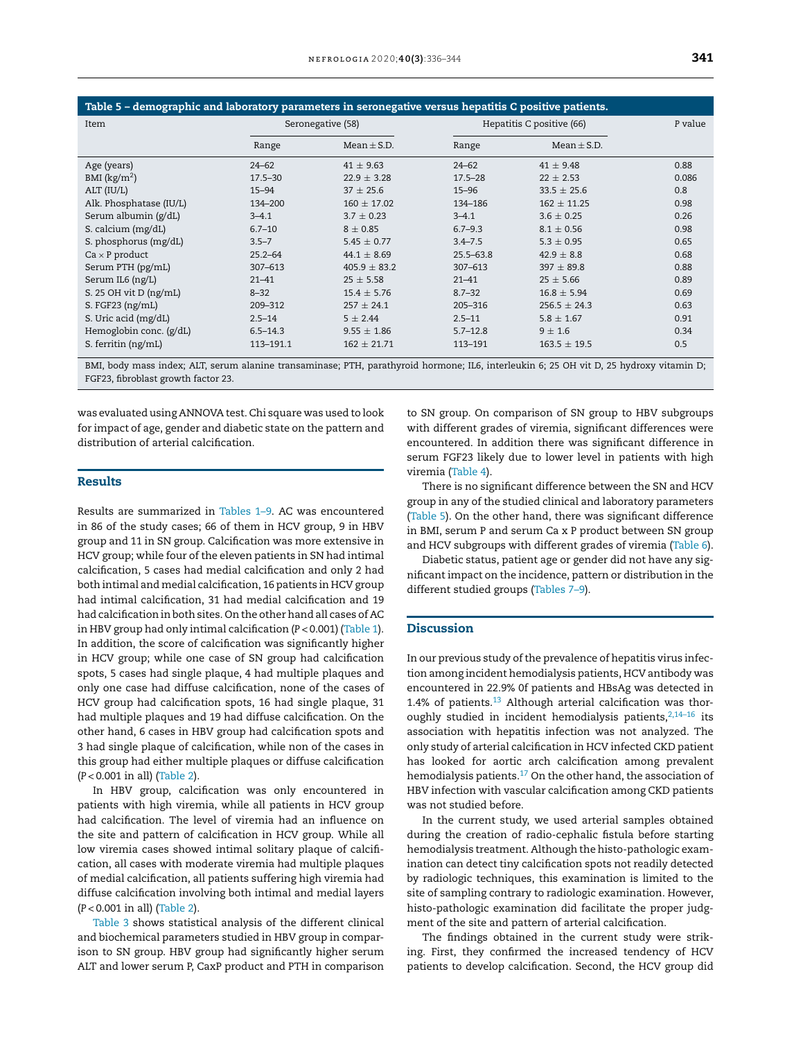| Table 5 - demographic and laboratory parameters in seronegative versus hepatitis C positive patients. |                   |                  |               |                           |         |  |  |  |  |  |  |
|-------------------------------------------------------------------------------------------------------|-------------------|------------------|---------------|---------------------------|---------|--|--|--|--|--|--|
| Item                                                                                                  | Seronegative (58) |                  |               | Hepatitis C positive (66) | P value |  |  |  |  |  |  |
|                                                                                                       | Range             | $Mean \pm S.D.$  | Range         | $Mean \pm S.D.$           |         |  |  |  |  |  |  |
| Age (years)                                                                                           | $24 - 62$         | $41 \pm 9.63$    | $24 - 62$     | $41 \pm 9.48$             | 0.88    |  |  |  |  |  |  |
| BMI $(kg/m2)$                                                                                         | $17.5 - 30$       | $22.9 \pm 3.28$  | $17.5 - 28$   | $22 \pm 2.53$             | 0.086   |  |  |  |  |  |  |
| ALT (IU/L)                                                                                            | $15 - 94$         | $37 \pm 25.6$    | $15 - 96$     | $33.5 \pm 25.6$           | 0.8     |  |  |  |  |  |  |
| Alk. Phosphatase (IU/L)                                                                               | 134-200           | $160 \pm 17.02$  | 134-186       | $162 \pm 11.25$           | 0.98    |  |  |  |  |  |  |
| Serum albumin (g/dL)                                                                                  | $3 - 4.1$         | $3.7 \pm 0.23$   | $3 - 4.1$     | $3.6 \pm 0.25$            | 0.26    |  |  |  |  |  |  |
| S. calcium (mg/dL)                                                                                    | $6.7 - 10$        | $8 + 0.85$       | $6.7 - 9.3$   | $8.1 + 0.56$              | 0.98    |  |  |  |  |  |  |
| S. phosphorus (mg/dL)                                                                                 | $3.5 - 7$         | $5.45 \pm 0.77$  | $3.4 - 7.5$   | $5.3 \pm 0.95$            | 0.65    |  |  |  |  |  |  |
| $Ca \times P$ product                                                                                 | $25.2 - 64$       | $44.1 \pm 8.69$  | $25.5 - 63.8$ | $42.9 \pm 8.8$            | 0.68    |  |  |  |  |  |  |
| Serum PTH (pg/mL)                                                                                     | $307 - 613$       | $405.9 \pm 83.2$ | $307 - 613$   | $397 \pm 89.8$            | 0.88    |  |  |  |  |  |  |
| Serum IL6 (ng/L)                                                                                      | $21 - 41$         | $25 \pm 5.58$    | $21 - 41$     | $25 \pm 5.66$             | 0.89    |  |  |  |  |  |  |
| S. 25 OH vit D (ng/mL)                                                                                | $8 - 32$          | $15.4 \pm 5.76$  | $8.7 - 32$    | $16.8 \pm 5.94$           | 0.69    |  |  |  |  |  |  |
| S. FGF23 (ng/mL)                                                                                      | 209-312           | $257 \pm 24.1$   | 205-316       | $256.5 \pm 24.3$          | 0.63    |  |  |  |  |  |  |
| S. Uric acid (mg/dL)                                                                                  | $2.5 - 14$        | $5 \pm 2.44$     | $2.5 - 11$    | $5.8 \pm 1.67$            | 0.91    |  |  |  |  |  |  |
| Hemoglobin conc. (g/dL)                                                                               | $6.5 - 14.3$      | $9.55 \pm 1.86$  | $5.7 - 12.8$  | $9 \pm 1.6$               | 0.34    |  |  |  |  |  |  |
| S. ferritin (ng/mL)                                                                                   | 113-191.1         | $162 \pm 21.71$  | 113-191       | $163.5 \pm 19.5$          | 0.5     |  |  |  |  |  |  |

BMI, body mass index; ALT, serum alanine transaminase; PTH, parathyroid hormone; IL6, interleukin 6; 25 OH vit D, 25 hydroxy vitamin D; FGF23, fibroblast growth factor 23.

was evaluated using ANNOVA test. Chi square was used to look for impact of age, gender and diabetic state on the pattern and distribution of arterial calcification.

#### Results

Results are summarized in [Tables](#page-3-0) 1–9. AC was encountered in 86 of the study cases; 66 of them in HCV group, 9 in HBV group and 11 in SN group. Calcification was more extensive in HCV group; while four of the eleven patients in SN had intimal calcification, 5 cases had medial calcification and only 2 had both intimal and medial calcification, 16 patients in HCV group had intimal calcification, 31 had medial calcification and 19 had calcification in both sites. On the other hand all cases of AC in HBV group had only intimal calcification (*P* < 0.001) ([Table](#page-3-0) 1). In addition, the score of calcification was significantly higher in HCV group; while one case of SN group had calcification spots, 5 cases had single plaque, 4 had multiple plaques and only one case had diffuse calcification, none of the cases of HCV group had calcification spots, 16 had single plaque, 31 had multiple plaques and 19 had diffuse calcification. On the other hand, 6 cases in HBV group had calcification spots and 3 had single plaque of calcification, while non of the cases in this group had either multiple plaques or diffuse calcification (*P* < 0.001 in all) [\(Table](#page-3-0) 2).

In HBV group, calcification was only encountered in patients with high viremia, while all patients in HCV group had calcification. The level of viremia had an influence on the site and pattern of calcification in HCV group. While all low viremia cases showed intimal solitary plaque of calcification, all cases with moderate viremia had multiple plaques of medial calcification, all patients suffering high viremia had diffuse calcification involving both intimal and medial layers (*P* < 0.001 in all) [\(Table](#page-3-0) 2).

[Table](#page-3-0) 3 shows statistical analysis of the different clinical and biochemical parameters studied in HBV group in comparison to SN group. HBV group had significantly higher serum ALT and lower serum P, CaxP product and PTH in comparison to SN group. On comparison of SN group to HBV subgroups with different grades of viremia, significant differences were encountered. In addition there was significant difference in serum FGF23 likely due to lower level in patients with high viremia ([Table](#page-4-0) 4).

There is no significant difference between the SN and HCV group in any of the studied clinical and laboratory parameters (Table 5). On the other hand, there was significant difference in BMI, serum P and serum Ca x P product between SN group and HCV subgroups with different grades of viremia [\(Table](#page-6-0) 6).

Diabetic status, patient age or gender did not have any significant impact on the incidence, pattern or distribution in the different studied groups [\(Tables](#page-7-0) 7–9).

#### Discussion

In our previous study of the prevalence of hepatitis virus infection among incident hemodialysis patients, HCV antibody was encountered in 22.9% 0f patients and HBsAg was detected in 1.4% of patients. $13$  Although arterial calcification was thoroughly studied in incident hemodialysis patients, $2,14-16$  its association with hepatitis infection was not analyzed. The only study of arterial calcification in HCV infected CKD patient has looked for aortic arch calcification among prevalent hemodialysis patients.<sup>[17](#page-8-0)</sup> On the other hand, the association of HBV infection with vascular calcification among CKD patients was not studied before.

In the current study, we used arterial samples obtained during the creation of radio-cephalic fistula before starting hemodialysis treatment. Although the histo-pathologic examination can detect tiny calcification spots not readily detected by radiologic techniques, this examination is limited to the site of sampling contrary to radiologic examination. However, histo-pathologic examination did facilitate the proper judgment of the site and pattern of arterial calcification.

The findings obtained in the current study were striking. First, they confirmed the increased tendency of HCV patients to develop calcification. Second, the HCV group did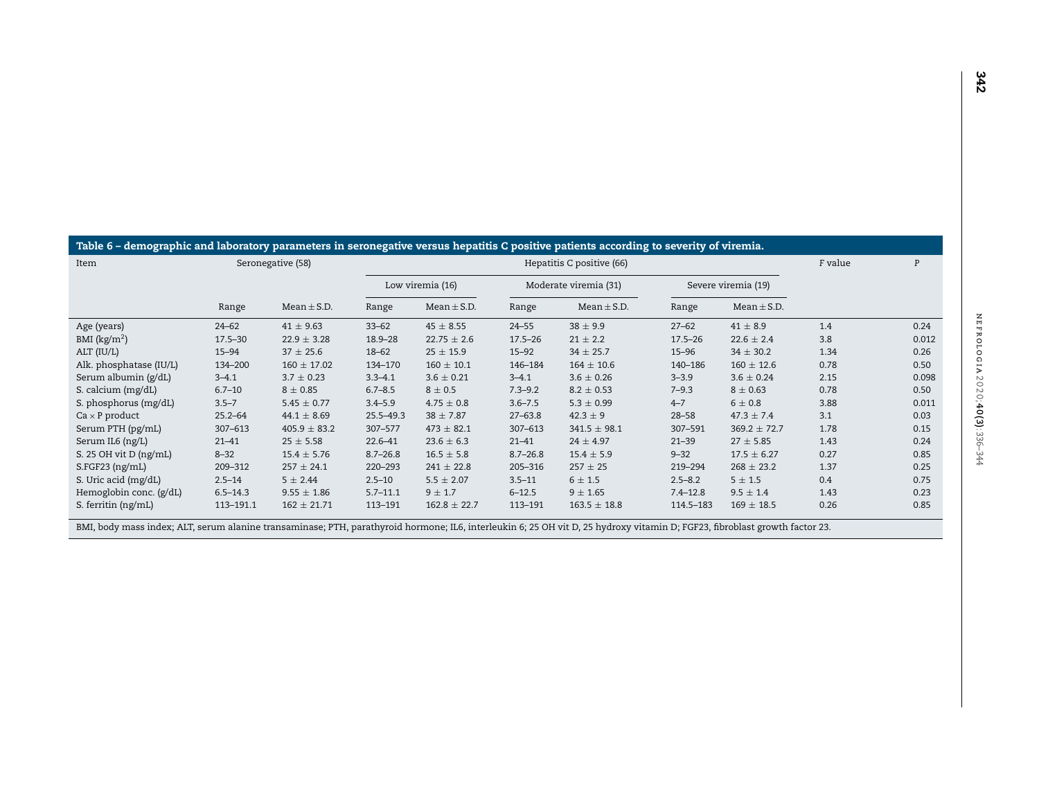<span id="page-6-0"></span>

| Table 6 – demographic and laboratory parameters in seronegative versus hepatitis C positive patients according to severity of viremia. |                                          |                   |               |                           |              |                       |              |                                                      |      |       |  |  |
|----------------------------------------------------------------------------------------------------------------------------------------|------------------------------------------|-------------------|---------------|---------------------------|--------------|-----------------------|--------------|------------------------------------------------------|------|-------|--|--|
| Item                                                                                                                                   |                                          | Seronegative (58) |               | Hepatitis C positive (66) |              |                       |              |                                                      |      | P     |  |  |
|                                                                                                                                        |                                          |                   |               | Low viremia (16)          |              | Moderate viremia (31) |              | Severe viremia (19)                                  |      |       |  |  |
|                                                                                                                                        | Range                                    | Mean $\pm$ S.D.   | Range         | $Mean \pm S.D.$           | Range        | $Mean \pm S.D.$       | Range        | $Mean \pm S.D.$                                      |      |       |  |  |
| Age (years)                                                                                                                            | $24 - 62$                                | $41 \pm 9.63$     | $33 - 62$     | $45 \pm 8.55$             | $24 - 55$    | $38 \pm 9.9$          | $27 - 62$    | $41 \pm 8.9$                                         | 1.4  | 0.24  |  |  |
| BMI $(kg/m2)$                                                                                                                          | $17.5 - 30$                              | $22.9 \pm 3.28$   | $18.9 - 28$   | $22.75 \pm 2.6$           | $17.5 - 26$  | $21 \pm 2.2$          | $17.5 - 26$  | $22.6 \pm 2.4$                                       | 3.8  | 0.012 |  |  |
| ALT (IU/L)                                                                                                                             | $15 - 94$                                | $37 \pm 25.6$     | $18 - 62$     | $25 \pm 15.9$             | $15 - 92$    | $34 \pm 25.7$         | $15 - 96$    | $34 \pm 30.2$                                        | 1.34 | 0.26  |  |  |
| Alk. phosphatase (IU/L)                                                                                                                | 134-200                                  | $160 \pm 17.02$   | 134-170       | $160 \pm 10.1$            | 146-184      | $164 \pm 10.6$        | 140-186      | $160 \pm 12.6$                                       | 0.78 | 0.50  |  |  |
| Serum albumin (g/dL)                                                                                                                   | $3 - 4.1$                                | $3.7 \pm 0.23$    | $3.3 - 4.1$   | $3.6 \pm 0.21$            | $3 - 4.1$    | $3.6 \pm 0.26$        | $3 - 3.9$    | $3.6 \pm 0.24$                                       | 2.15 | 0.098 |  |  |
| S. calcium (mg/dL)                                                                                                                     | $6.7 - 10$                               | $8 \pm 0.85$      | $6.7 - 8.5$   | $8 \pm 0.5$               | $7.3 - 9.2$  | $8.2 \pm 0.53$        | $7 - 9.3$    | $8 \pm 0.63$                                         | 0.78 | 0.50  |  |  |
| S. phosphorus (mg/dL)                                                                                                                  | $3.5 - 7$                                | $5.45 \pm 0.77$   | $3.4 - 5.9$   | $4.75 \pm 0.8$            | $3.6 - 7.5$  | $5.3 \pm 0.99$        | $4 - 7$      | $6 \pm 0.8$                                          | 3.88 | 0.011 |  |  |
| $Ca \times P$ product                                                                                                                  | $25.2 - 64$                              | $44.1 \pm 8.69$   | $25.5 - 49.3$ | $38 \pm 7.87$             | $27 - 63.8$  | $42.3 \pm 9$          | $28 - 58$    | $47.3 \pm 7.4$                                       | 3.1  | 0.03  |  |  |
| Serum PTH (pg/mL)                                                                                                                      | $307 - 613$                              | $405.9 \pm 83.2$  | 307-577       | $473 \pm 82.1$            | 307-613      | $341.5 \pm 98.1$      | 307-591      | $369.2 \pm 72.7$                                     | 1.78 | 0.15  |  |  |
| Serum IL6 (ng/L)                                                                                                                       | $21 - 41$                                | $25 \pm 5.58$     | $22.6 - 41$   | $23.6 \pm 6.3$            | $21 - 41$    | $24 \pm 4.97$         | $21 - 39$    | $27 \pm 5.85$                                        | 1.43 | 0.24  |  |  |
| S. 25 OH vit $D$ (ng/mL)                                                                                                               | $8 - 32$                                 | $15.4 \pm 5.76$   | $8.7 - 26.8$  | $16.5 \pm 5.8$            | $8.7 - 26.8$ | $15.4 \pm 5.9$        | $9 - 32$     | $17.5 \pm 6.27$                                      | 0.27 | 0.85  |  |  |
| $S.FGF23$ (ng/mL)                                                                                                                      | 209-312                                  | $257 \pm 24.1$    | 220-293       | $241 \pm 22.8$            | 205-316      | $257 \pm 25$          | 219-294      | $268 \pm 23.2$                                       | 1.37 | 0.25  |  |  |
| S. Uric acid (mg/dL)                                                                                                                   | $2.5 - 14$                               | $5 \pm 2.44$      | $2.5 - 10$    | $5.5 \pm 2.07$            | $3.5 - 11$   | $6 \pm 1.5$           | $2.5 - 8.2$  | $5 \pm 1.5$                                          | 0.4  | 0.75  |  |  |
| Hemoglobin conc. (g/dL)                                                                                                                | $6.5 - 14.3$                             | $9.55 \pm 1.86$   | $5.7 - 11.1$  | $9 \pm 1.7$               | $6 - 12.5$   | $9 \pm 1.65$          | $7.4 - 12.8$ | $9.5 \pm 1.4$                                        | 1.43 | 0.23  |  |  |
| S. ferritin (ng/mL)<br>$- - - - -$                                                                                                     | 113-191.1<br>$\sim$ $\sim$ $\sim$ $\sim$ | $162 \pm 21.71$   | 113-191       | $162.8 \pm 22.7$          | 113-191      | $163.5 \pm 18.8$      | 114.5-183    | $169 \pm 18.5$<br>$\sim$ $\sim$ $\sim$ $\sim$ $\sim$ | 0.26 | 0.85  |  |  |

BMI, body mass index; ALT, serum alanine transaminase; PTH, parathyroid hormone; IL6, interleukin 6; 25 OH vit D, 25 hydroxy vitamin D; FGF23, fibroblast growth factor 23.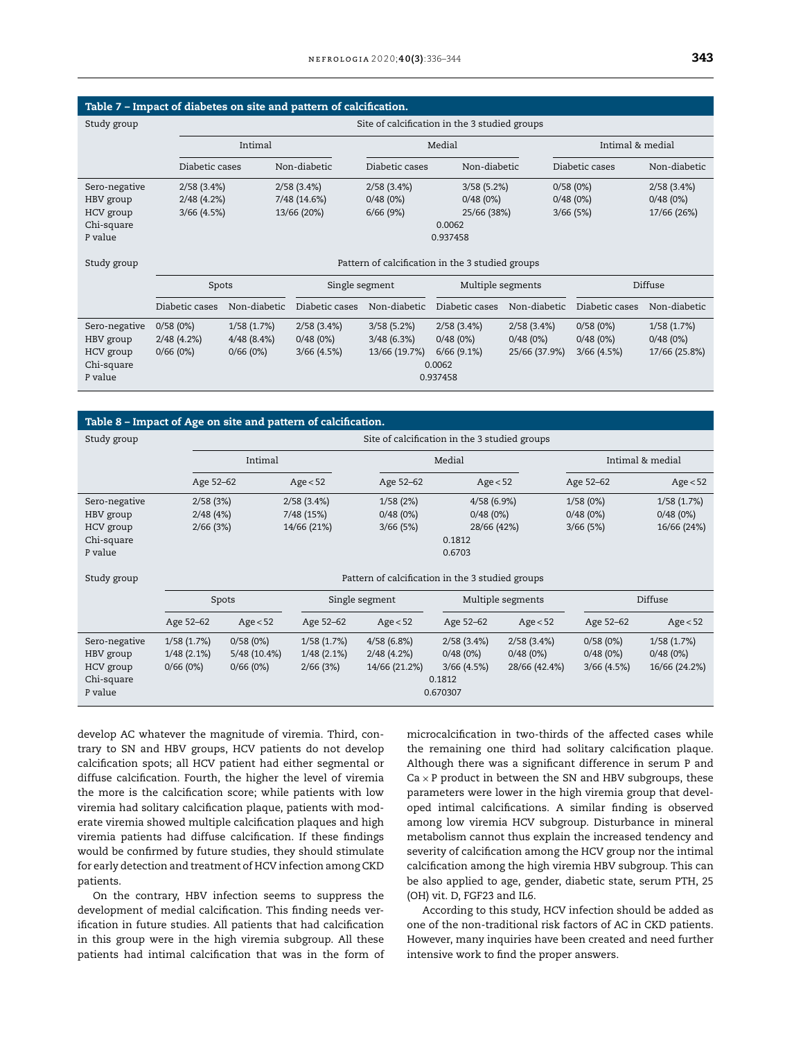<span id="page-7-0"></span>

|                                                                  |                                               |                                      | Table 7 - Impact of diabetes on site and pattern of calcification. |                                           |                                                               |                                         |                                       |                                         |  |  |
|------------------------------------------------------------------|-----------------------------------------------|--------------------------------------|--------------------------------------------------------------------|-------------------------------------------|---------------------------------------------------------------|-----------------------------------------|---------------------------------------|-----------------------------------------|--|--|
| Study group                                                      | Site of calcification in the 3 studied groups |                                      |                                                                    |                                           |                                                               |                                         |                                       |                                         |  |  |
|                                                                  | Intimal                                       |                                      |                                                                    |                                           | Medial                                                        |                                         | Intimal & medial                      |                                         |  |  |
|                                                                  | Diabetic cases                                |                                      | Non-diabetic                                                       | Diabetic cases                            | Non-diabetic                                                  |                                         | Diabetic cases                        | Non-diabetic                            |  |  |
| Sero-negative<br>HBV group                                       | 2/58(3.4%)<br>2/48(4.2%)                      |                                      | 2/58(3.4%)<br>7/48 (14.6%)                                         | 2/58(3.4%)<br>0/48(0%)                    | 3/58(5.2%)<br>0/48(0%)                                        |                                         | 0/58(0%)<br>0/48(0%)                  | 2/58(3.4%)<br>0/48(0%)                  |  |  |
| HCV group<br>Chi-square<br>P value                               | $3/66$ (4.5%)                                 |                                      | 13/66 (20%)                                                        | $6/66$ (9%)                               | 25/66 (38%)<br>0.0062<br>0.937458                             |                                         | 3/66(5%)                              | 17/66 (26%)                             |  |  |
| Study group                                                      |                                               |                                      |                                                                    |                                           | Pattern of calcification in the 3 studied groups              |                                         |                                       |                                         |  |  |
|                                                                  | Spots                                         |                                      | Single segment                                                     |                                           | Multiple segments                                             |                                         |                                       | Diffuse                                 |  |  |
|                                                                  | Diabetic cases                                | Non-diabetic                         | Diabetic cases                                                     | Non-diabetic                              | Diabetic cases                                                | Non-diabetic                            | Diabetic cases                        | Non-diabetic                            |  |  |
| Sero-negative<br>HBV group<br>HCV group<br>Chi-square<br>P value | 0/58(0%)<br>2/48(4.2%)<br>0/66(0%)            | 1/58(1.7%)<br>4/48(8.4%)<br>0/66(0%) | 2/58(3.4%)<br>0/48(0%)<br>$3/66$ (4.5%)                            | 3/58(5.2%)<br>3/48(6.3%)<br>13/66 (19.7%) | 2/58(3.4%)<br>0/48(0%)<br>$6/66$ (9.1%)<br>0.0062<br>0.937458 | 2/58(3.4%)<br>0/48(0%)<br>25/66 (37.9%) | 0/58(0%)<br>0/48(0%)<br>$3/66$ (4.5%) | 1/58(1.7%)<br>0/48(0%)<br>17/66 (25.8%) |  |  |

#### Table 8 – Impact of Age on site and pattern of calcification.

| Study group   |               | Site of calcification in the 3 studied groups |               |                                                  |                   |               |               |                  |  |  |
|---------------|---------------|-----------------------------------------------|---------------|--------------------------------------------------|-------------------|---------------|---------------|------------------|--|--|
|               |               | Intimal                                       |               |                                                  | Medial            |               |               | Intimal & medial |  |  |
|               | Age 52-62     |                                               | Age < 52      |                                                  | Age < 52          |               | Age 52-62     | Age < 52         |  |  |
| Sero-negative | 2/58(3%)      |                                               | 2/58(3.4%)    | 1/58(2%)                                         | 4/58(6.9%)        |               | 1/58(0%)      | 1/58(1.7%)       |  |  |
| HBV group     | 2/48(4%)      |                                               | 7/48 (15%)    | 0/48(0%)                                         | 0/48(0%)          |               | 0/48(0%)      | 0/48(0%)         |  |  |
| HCV group     | $2/66$ (3%)   |                                               | 14/66 (21%)   | 3/66(5%)                                         | 28/66 (42%)       |               | 3/66(5%)      | 16/66 (24%)      |  |  |
| Chi-square    |               |                                               |               |                                                  | 0.1812            |               |               |                  |  |  |
| P value       |               |                                               |               |                                                  | 0.6703            |               |               |                  |  |  |
| Study group   |               |                                               |               | Pattern of calcification in the 3 studied groups |                   |               |               |                  |  |  |
|               |               | Spots                                         |               | Single segment                                   | Multiple segments |               |               | Diffuse          |  |  |
|               | Age 52-62     | Age < 52                                      | Age 52-62     | Age $< 52$                                       | Age 52-62         | Age $< 52$    | Age 52-62     | Age < 52         |  |  |
| Sero-negative | 1/58(1.7%)    | 0/58(0%)                                      | 1/58(1.7%)    | 4/58(6.8%)                                       | 2/58(3.4%)        | 2/58(3.4%)    | 0/58(0%)      | 1/58(1.7%)       |  |  |
| HBV group     | $1/48(2.1\%)$ | 5/48 (10.4%)                                  | $1/48(2.1\%)$ | 2/48(4.2%)                                       | 0/48(0%)          | 0/48(0%)      | 0/48(0%)      | 0/48(0%)         |  |  |
| HCV group     | 0/66(0%)      | 0/66(0%)                                      | 2/66(3%)      | 14/66 (21.2%)                                    | $3/66$ (4.5%)     | 28/66 (42.4%) | $3/66$ (4.5%) | 16/66 (24.2%)    |  |  |
| Chi-square    |               |                                               |               |                                                  | 0.1812            |               |               |                  |  |  |
| P value       |               |                                               |               |                                                  | 0.670307          |               |               |                  |  |  |

develop AC whatever the magnitude of viremia. Third, contrary to SN and HBV groups, HCV patients do not develop calcification spots; all HCV patient had either segmental or diffuse calcification. Fourth, the higher the level of viremia the more is the calcification score; while patients with low viremia had solitary calcification plaque, patients with moderate viremia showed multiple calcification plaques and high viremia patients had diffuse calcification. If these findings would be confirmed by future studies, they should stimulate for early detection and treatment of HCV infection among CKD patients.

On the contrary, HBV infection seems to suppress the development of medial calcification. This finding needs verification in future studies. All patients that had calcification in this group were in the high viremia subgroup. All these patients had intimal calcification that was in the form of microcalcification in two-thirds of the affected cases while the remaining one third had solitary calcification plaque. Although there was a significant difference in serum P and  $Ca \times P$  product in between the SN and HBV subgroups, these parameters were lower in the high viremia group that developed intimal calcifications. A similar finding is observed among low viremia HCV subgroup. Disturbance in mineral metabolism cannot thus explain the increased tendency and severity of calcification among the HCV group nor the intimal calcification among the high viremia HBV subgroup. This can be also applied to age, gender, diabetic state, serum PTH, 25 (OH) vit. D, FGF23 and IL6.

According to this study, HCV infection should be added as one of the non-traditional risk factors of AC in CKD patients. However, many inquiries have been created and need further intensive work to find the proper answers.